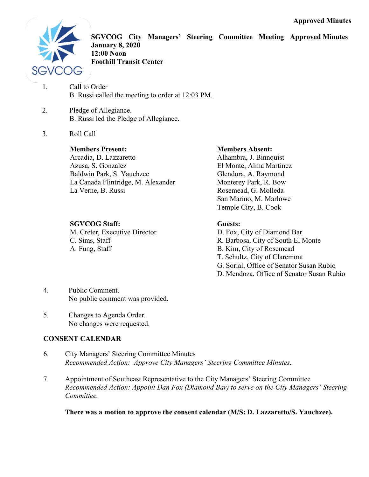

**SGVCOG City Managers' Steering Committee Meeting Approved Minutes January 8, 2020 12:00 Noon Foothill Transit Center** 

1. Call to Order B. Russi called the meeting to order at 12:03 PM.

- 2. Pledge of Allegiance. B. Russi led the Pledge of Allegiance.
- 3. Roll Call

## **Members Present:**

Arcadia, D. Lazzaretto Azusa, S. Gonzalez Baldwin Park, S. Yauchzee La Canada Flintridge, M. Alexander La Verne, B. Russi

## **SGVCOG Staff:**

M. Creter, Executive Director C. Sims, Staff A. Fung, Staff

### **Members Absent:**

Alhambra, J. Binnquist El Monte, Alma Martinez Glendora, A. Raymond Monterey Park, R. Bow Rosemead, G. Molleda San Marino, M. Marlowe Temple City, B. Cook

## **Guests:**

D. Fox, City of Diamond Bar R. Barbosa, City of South El Monte B. Kim, City of Rosemead T. Schultz, City of Claremont G. Sorial, Office of Senator Susan Rubio D. Mendoza, Office of Senator Susan Rubio

- 4. Public Comment. No public comment was provided.
- 5. Changes to Agenda Order. No changes were requested.

# **CONSENT CALENDAR**

- 6. City Managers' Steering Committee Minutes *Recommended Action: Approve City Managers' Steering Committee Minutes.*
- 7. Appointment of Southeast Representative to the City Managers' Steering Committee *Recommended Action: Appoint Dan Fox (Diamond Bar) to serve on the City Managers' Steering Committee.*

**There was a motion to approve the consent calendar (M/S: D. Lazzaretto/S. Yauchzee).**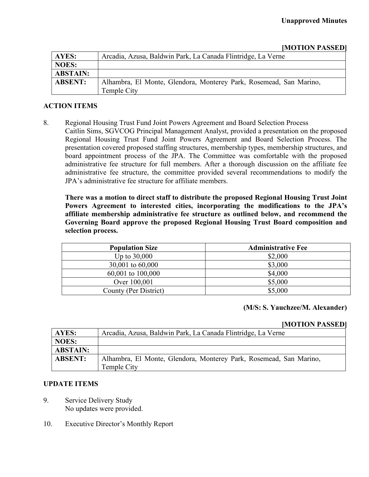| [MOTION PASSED] |  |
|-----------------|--|
|-----------------|--|

| <b>AYES:</b>    | Arcadia, Azusa, Baldwin Park, La Canada Flintridge, La Verne       |
|-----------------|--------------------------------------------------------------------|
| <b>NOES:</b>    |                                                                    |
| <b>ABSTAIN:</b> |                                                                    |
| <b>ABSENT:</b>  | Alhambra, El Monte, Glendora, Monterey Park, Rosemead, San Marino, |
|                 | Temple City                                                        |

#### **ACTION ITEMS**

8. Regional Housing Trust Fund Joint Powers Agreement and Board Selection Process

Caitlin Sims, SGVCOG Principal Management Analyst, provided a presentation on the proposed Regional Housing Trust Fund Joint Powers Agreement and Board Selection Process. The presentation covered proposed staffing structures, membership types, membership structures, and board appointment process of the JPA. The Committee was comfortable with the proposed administrative fee structure for full members. After a thorough discussion on the affiliate fee administrative fee structure, the committee provided several recommendations to modify the JPA's administrative fee structure for affiliate members.

**There was a motion to direct staff to distribute the proposed Regional Housing Trust Joint Powers Agreement to interested cities, incorporating the modifications to the JPA's affiliate membership administrative fee structure as outlined below, and recommend the Governing Board approve the proposed Regional Housing Trust Board composition and selection process.** 

| <b>Population Size</b> | <b>Administrative Fee</b> |
|------------------------|---------------------------|
| Up to $30,000$         | \$2,000                   |
| 30,001 to 60,000       | \$3,000                   |
| $60,001$ to $100,000$  | \$4,000                   |
| Over 100,001           | \$5,000                   |
| County (Per District)  | \$5,000                   |

#### **(M/S: S. Yauchzee/M. Alexander)**

#### **[MOTION PASSED]**

| AYES:           | Arcadia, Azusa, Baldwin Park, La Canada Flintridge, La Verne       |
|-----------------|--------------------------------------------------------------------|
| <b>NOES:</b>    |                                                                    |
| <b>ABSTAIN:</b> |                                                                    |
| <b>ABSENT:</b>  | Alhambra, El Monte, Glendora, Monterey Park, Rosemead, San Marino, |
|                 | Temple City                                                        |

#### **UPDATE ITEMS**

- 9. Service Delivery Study No updates were provided.
- 10. Executive Director's Monthly Report